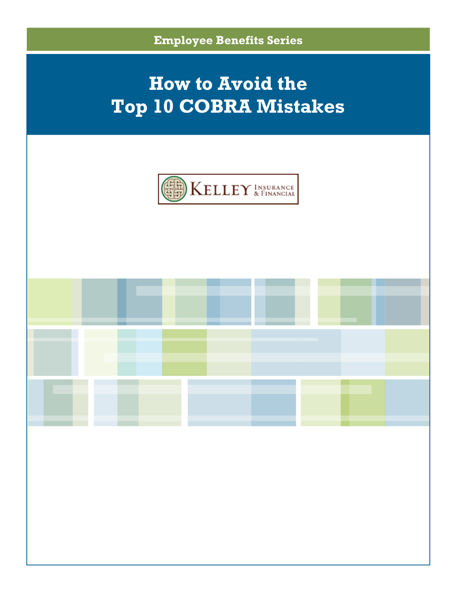



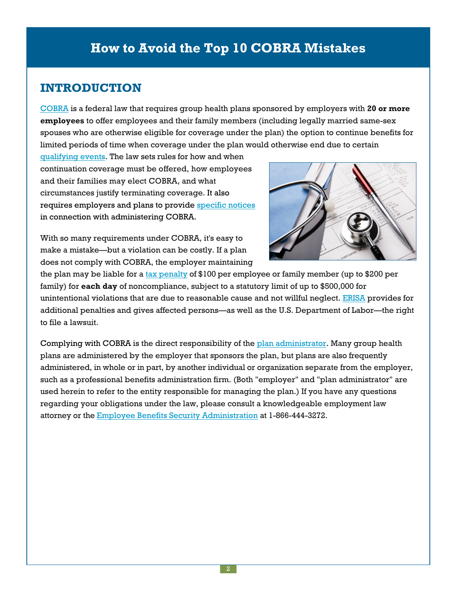## **INTRODUCTION**

[COBRA](http://www.dol.gov/dol/topic/health-plans/cobra.htm) is a federal law that requires group health plans sponsored by employers with **20 or more employees** to offer employees and their family members (including legally married same-sex spouses who are otherwise eligible for coverage under the plan) the option to continue benefits for limited periods of time when coverage under the plan would otherwise end due to certain

[qualifying](http://www.dol.gov/ebsa/publications/cobraemployer.html#3) events. The law sets rules for how and when continuation coverage must be offered, how employees and their families may elect COBRA, and what circumstances justify terminating coverage. It also requires employers and plans to provide [specific](http://www.dol.gov/ebsa/publications/cobraemployer.html#4) notices in connection with administering COBRA.



With so many requirements under COBRA, it's easy to make a mistake—but a violation can be costly. If a plan does not comply with COBRA, the employer maintaining

the plan may be liable for a tax [penalty](http://www.irs.gov/pub/irs-utl/contofemployeehealthcarecoverageatg.pdf) of \$100 per employee or family member (up to \$200 per family) for **each day** of noncompliance, subject to a statutory limit of up to \$500,000 for unintentional violations that are due to reasonable cause and not willful neglect. [ERISA](http://www.dol.gov/compliance/guide/erisa.htm) provides for additional penalties and gives affected persons—as well as the U.S. Department of Labor—the right to file a lawsuit.

Complying with COBRA is the direct responsibility of the plan [administrator](http://www.dol.gov/elaws/ebsa/health/4.asp#Plan_Administrator). Many group health plans are administered by the employer that sponsors the plan, but plans are also frequently administered, in whole or in part, by another individual or organization separate from the employer, such as a professional benefits administration firm. (Both "employer" and "plan administrator" are used herein to refer to the entity responsible for managing the plan.) If you have any questions regarding your obligations under the law, please consult a knowledgeable employment law attorney or the Employee Benefits Security [Administration](http://www.dol.gov/ebsa/) at 1-866-444-3272.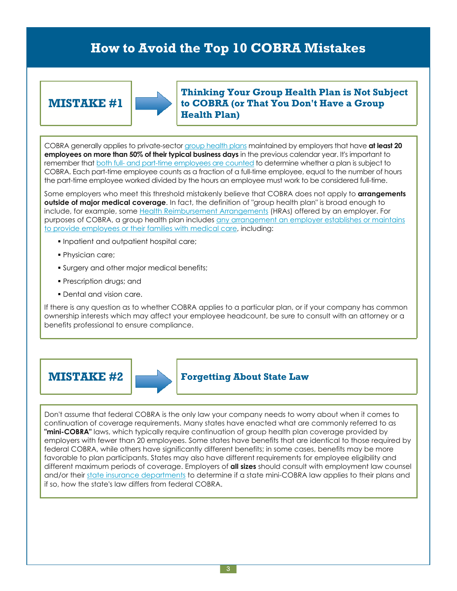### **MISTAKE #1**



**Thinking Your Group Health Plan is Not Subject to COBRA (or That You Don't Have a Group Health Plan)**

COBRA generally applies to private-sector group [health](http://www.dol.gov/elaws/ebsa/health/4.asp#Group_Health_Plan) plans maintained by employers that have **at least 20 employees on more than 50% of their typical business days** in the previous calendar year. It's important to remember that both full- and part-time [employees](http://www.dol.gov/ebsa/publications/cobraemployer.html#2) are counted to determine whether a plan is subject to COBRA. Each part-time employee counts as a fraction of a full-time employee, equal to the number of hours the part-time employee worked divided by the hours an employee must work to be considered full-time.

Some employers who meet this threshold mistakenly believe that COBRA does not apply to **arrangements outside of major medical coverage**. In fact, the definition of "group health plan" is broad enough to include, for example, some Health [Reimbursement](http://www.irs.gov/pub/irs-drop/n-02-45.pdf) Arrangements (HRAs) offered by an employer. For purposes of COBRA, a group health plan includes any [arrangement](http://www.dol.gov/ebsa/publications/cobraemployer.html#2) an employer establishes or maintains to provide [employees](http://www.dol.gov/ebsa/publications/cobraemployer.html#2) or their families with medical care, including:

- **Inpatient and outpatient hospital care;**
- Physician care;
- **Surgery and other major medical benefits;**
- **Prescription drugs; and**
- Dental and vision care.

If there is any question as to whether COBRA applies to a particular plan, or if your company has common ownership interests which may affect your employee headcount, be sure to consult with an attorney or a benefits professional to ensure compliance.





### **MISTAKE #2 Forgetting About State Law**

Don't assume that federal COBRA is the only law your company needs to worry about when it comes to continuation of coverage requirements. Many states have enacted what are commonly referred to as **"mini-COBRA"** laws, which typically require continuation of group health plan coverage provided by employers with fewer than 20 employees. Some states have benefits that are identical to those required by federal COBRA, while others have significantly different benefits; in some cases, benefits may be more favorable to plan participants. States may also have different requirements for employee eligibility and different maximum periods of coverage. Employers of **all sizes** should consult with employment law counsel and/or their state insurance [departments](http://www.naic.org/state_web_map.htm) to determine if a state mini-COBRA law applies to their plans and if so, how the state's law differs from federal COBRA.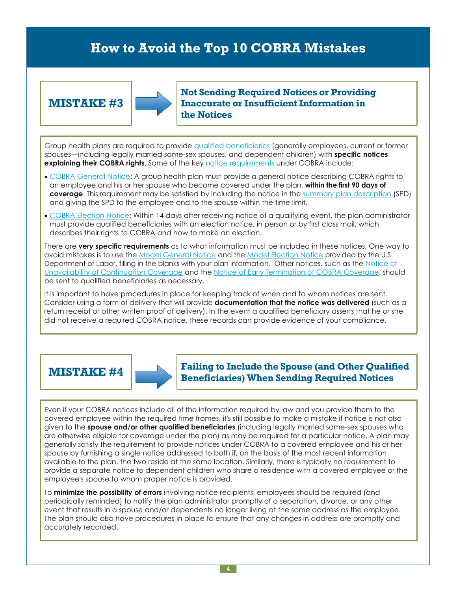### **MISTAKE #3**

![](_page_3_Picture_2.jpeg)

**Not Sending Required Notices or Providing Inaccurate or Insufficient Information in the Notices**

Group health plans are required to provide qualified [beneficiaries](http://www.dol.gov/elaws/ebsa/health/4.asp#Qualified_Beneficiary) (generally employees, current or former spouses—including legally married same-sex spouses, and dependent children) with **specific notices explaining their COBRA rights**. Some of the key notice [requirements](http://www.dol.gov/ebsa/publications/cobraemployer.html#4) under COBRA include:

- COBRA [General](http://www.dol.gov/ebsa/modelgeneralnotice.doc) Notice: A group health plan must provide a general notice describing COBRA rights to an employee and his or her spouse who become covered under the plan, **within the first 90 days of coverage**. This requirement may be satisfied by including the notice in the summary plan [description](http://www.dol.gov/dol/topic/health-plans/planinformation.htm) (SPD) and giving the SPD to the employee and to the spouse within the time limit.
- COBRA [Election](http://www.dol.gov/ebsa/modelelectionnotice.doc) Notice: Within 14 days after receiving notice of a qualifying event, the plan administrator must provide qualified beneficiaries with an election notice, in person or by first class mail, which describes their rights to COBRA and how to make an election.

There are **very specific requirements** as to what information must be included in these notices. One way to avoid mistakes is to use the Model [General](http://www.dol.gov/ebsa/modelgeneralnotice.doc) Notice and the Model [Election](http://www.dol.gov/ebsa/modelelectionnotice.doc) Notice provided by the U.S. Department of Labor, filling in the blanks with your plan information. Other notices, such as the [Notice](http://www.dol.gov/ebsa/publications/cobraemployer.html#4) of [Unavailability](http://www.dol.gov/ebsa/publications/cobraemployer.html#4) of Continuation Coverage and the Notice of Early [Termination](http://www.dol.gov/ebsa/publications/cobraemployer.html#4) of COBRA Coverage, should be sent to qualified beneficiaries as necessary.

It is important to have procedures in place for keeping track of when and to whom notices are sent. Consider using a form of delivery that will provide **documentation that the notice was delivered** (such as a return receipt or other written proof of delivery). In the event a qualified beneficiary asserts that he or she did not receive a required COBRA notice, these records can provide evidence of your compliance.

![](_page_3_Picture_10.jpeg)

**MISTAKE #4 Failing to Include the Spouse (and Other Qualified Beneficiaries) When Sending Required Notices**

Even if your COBRA notices include all of the information required by law and you provide them to the covered employee within the required time frames, it's still possible to make a mistake if notice is not also given to the **spouse and/or other qualified beneficiaries** (including legally married same-sex spouses who are otherwise eligible for coverage under the plan) as may be required for a particular notice. A plan may generally satisfy the requirement to provide notices under COBRA to a covered employee and his or her spouse by furnishing a single notice addressed to both if, on the basis of the most recent information available to the plan, the two reside at the same location. Similarly, there is typically no requirement to provide a separate notice to dependent children who share a residence with a covered employee or the employee's spouse to whom proper notice is provided.

To **minimize the possibility of errors** involving notice recipients, employees should be required (and periodically reminded) to notify the plan administrator promptly of a separation, divorce, or any other event that results in a spouse and/or dependents no longer living at the same address as the employee. The plan should also have procedures in place to ensure that any changes in address are promptly and accurately recorded.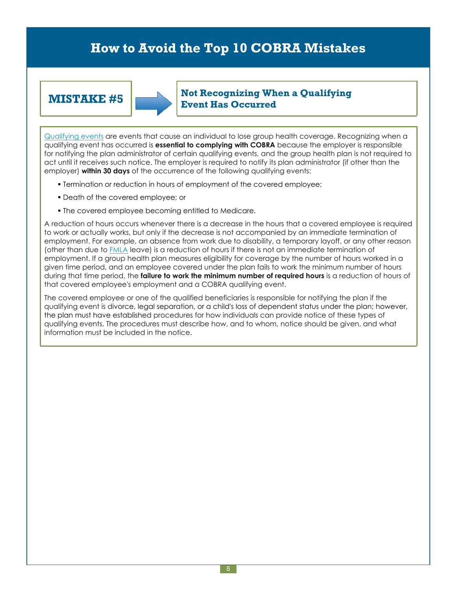![](_page_4_Picture_2.jpeg)

### **MISTAKE** #5  $\begin{bmatrix} \bullet & \bullet & \bullet \\ \bullet & \bullet & \bullet & \bullet \end{bmatrix}$  Not Recognizing When a Qualifying **Event Has Occurred**

[Qualifying](http://www.dol.gov/ebsa/publications/cobraemployer.html#3) events are events that cause an individual to lose group health coverage. Recognizing when a qualifying event has occurred is **essential to complying with COBRA** because the employer is responsible for notifying the plan administrator of certain qualifying events, and the group health plan is not required to act until it receives such notice. The employer is required to notify its plan administrator (if other than the employer) **within 30 days** of the occurrence of the following qualifying events:

- **Termination or reduction in hours of employment of the covered employee;**
- Death of the covered employee; or
- **The covered employee becoming entitled to Medicare.**

A reduction of hours occurs whenever there is a decrease in the hours that a covered employee is required to work or actually works, but only if the decrease is not accompanied by an immediate termination of employment. For example, an absence from work due to disability, a temporary layoff, or any other reason (other than due to [FMLA](http://www.dol.gov/whd/fmla/) leave) is a reduction of hours if there is not an immediate termination of employment. If a group health plan measures eligibility for coverage by the number of hours worked in a given time period, and an employee covered under the plan fails to work the minimum number of hours during that time period, the **failure to work the minimum number of required hours** is a reduction of hours of that covered employee's employment and a COBRA qualifying event.

The covered employee or one of the qualified beneficiaries is responsible for notifying the plan if the qualifying event is divorce, legal separation, or a child's loss of dependent status under the plan; however, the plan must have established procedures for how individuals can provide notice of these types of qualifying events. The procedures must describe how, and to whom, notice should be given, and what information must be included in the notice.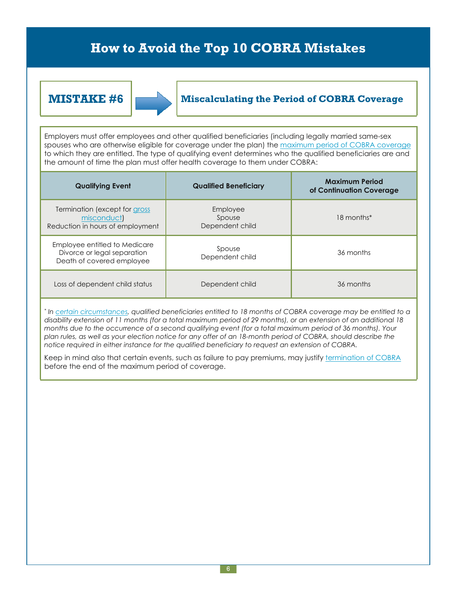![](_page_5_Picture_2.jpeg)

### **MISTAKE #6 Miscalculating the Period of COBRA Coverage**

Employers must offer employees and other qualified beneficiaries (including legally married same-sex spouses who are otherwise eligible for coverage under the plan) the maximum period of COBRA [coverage](http://www.dol.gov/ebsa/publications/cobraemployer.html#7) to which they are entitled. The type of qualifying event determines who the qualified beneficiaries are and the amount of time the plan must offer health coverage to them under COBRA:

| <b>Qualifying Event</b>                                                                   | <b>Qualified Beneficiary</b>          | <b>Maximum Period</b><br>of Continuation Coverage |
|-------------------------------------------------------------------------------------------|---------------------------------------|---------------------------------------------------|
| Termination (except for gross<br>misconduct)<br>Reduction in hours of employment          | Employee<br>Spouse<br>Dependent child | 18 months*                                        |
| Employee entitled to Medicare<br>Divorce or legal separation<br>Death of covered employee | Spouse<br>Dependent child             | 36 months                                         |
| Loss of dependent child status                                                            | Dependent child                       | 36 months                                         |

\* In <u>certain [circumstances](http://www.dol.gov/ebsa/publications/cobraemployer.html#6)</u>, qualified beneficiaries entitled to 18 months of COBRA coverage may be entitled to a disability extension of 11 months (for a total maximum period of 29 months), or an extension of an additional 18 months due to the occurrence of a second qualifying event (for a total maximum period of 36 months). Your plan rules, as well as your election notice for any offer of an 18-month period of COBRA, should describe the *notice required in either instance for the qualified beneficiary to request an extension of COBRA.*

Keep in mind also that certain events, such as failure to pay premiums, may justify [termination](http://www.dol.gov/ebsa/publications/cobraemployer.html#6) of COBRA before the end of the maximum period of coverage.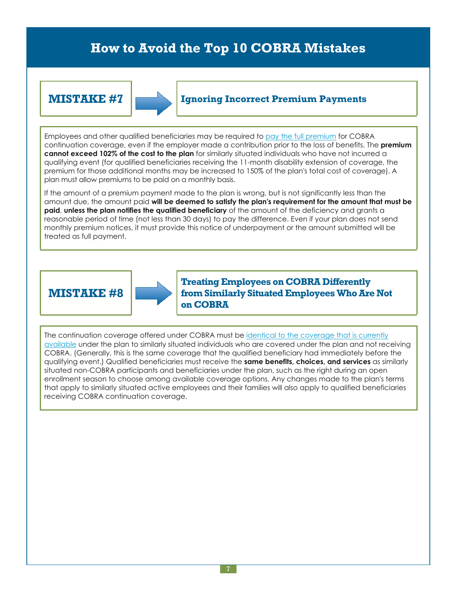![](_page_6_Figure_2.jpeg)

### **MISTAKE #7 Ignoring Incorrect Premium Payments**

Employees and other qualified beneficiaries may be required to pay the full [premium](http://www.dol.gov/ebsa/publications/cobraemployer.html#8) for COBRA continuation coverage, even if the employer made a contribution prior to the loss of benefits. The **premium cannot exceed 102% of the cost to the plan** for similarly situated individuals who have not incurred a qualifying event (for qualified beneficiaries receiving the 11-month disability extension of coverage, the premium for those additional months may be increased to 150% of the plan's total cost of coverage). A plan must allow premiums to be paid on a monthly basis.

If the amount of a premium payment made to the plan is wrong, but is not significantly less than the amount due, the amount paid **will be deemed to satisfy the plan's requirement for the amount that must be paid**, **unless the plan notifies the qualified beneficiary** of the amount of the deficiency and grants a reasonable period of time (not less than 30 days) to pay the difference. Even if your plan does not send monthly premium notices, it must provide this notice of underpayment or the amount submitted will be treated as full payment.

## **MISTAKE #8**

![](_page_6_Picture_7.jpeg)

**Treating Employees on COBRA Differently from Similarly Situated Employees WhoAre Not on COBRA**

The continuation [coverage](http://www.dol.gov/ebsa/publications/cobraemployer.html#5) offered under COBRA must be identical to the coverage that is currently [available](http://www.dol.gov/ebsa/publications/cobraemployer.html#5) under the plan to similarly situated individuals who are covered under the plan and not receiving COBRA. (Generally, this is the same coverage that the qualified beneficiary had immediately before the qualifying event.) Qualified beneficiaries must receive the **same benefits, choices, and services** as similarly situated non-COBRA participants and beneficiaries under the plan, such as the right during an open enrollment season to choose among available coverage options. Any changes made to the plan's terms that apply to similarly situated active employees and their families will also apply to qualified beneficiaries receiving COBRA continuation coverage.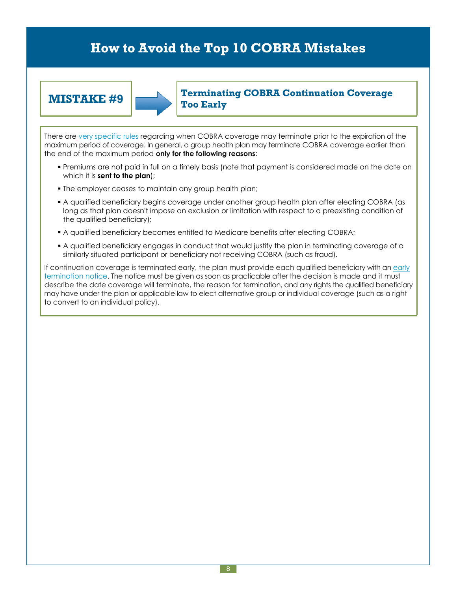![](_page_7_Picture_2.jpeg)

### **MISTAKE** #9 **Terminating COBRA** Continuation Coverage **Too Early**

There are very [specific](http://www.dol.gov/ebsa/publications/cobraemployer.html#6) rules regarding when COBRA coverage may terminate prior to the expiration of the maximum period of coverage. In general, a group health plan may terminate COBRA coverage earlier than the end of the maximum period **only for the following reasons**:

- Premiums are not paid in full on a timely basis (note that payment is considered made on the date on which it is **sent to the plan**);
- The employer ceases to maintain any group health plan;
- A qualified beneficiary begins coverage under another group health plan after electing COBRA (as long as that plan doesn't impose an exclusion or limitation with respect to a preexisting condition of the qualified beneficiary);
- A qualified beneficiary becomes entitled to Medicare benefits after electing COBRA;
- A qualified beneficiary engages in conduct that would justify the plan in terminating coverage of a similarly situated participant or beneficiary not receiving COBRA (such as fraud).

If continuation coverage is terminated early, the plan must provide each qualified beneficiary with an [early](http://www.dol.gov/ebsa/publications/cobraemployer.html#4) [termination](http://www.dol.gov/ebsa/publications/cobraemployer.html#4) notice. The notice must be given as soon as practicable after the decision is made and it must describe the date coverage will terminate, the reason for termination, and any rights the qualified beneficiary may have under the plan or applicable law to elect alternative group or individual coverage (such as a right to convert to an individual policy).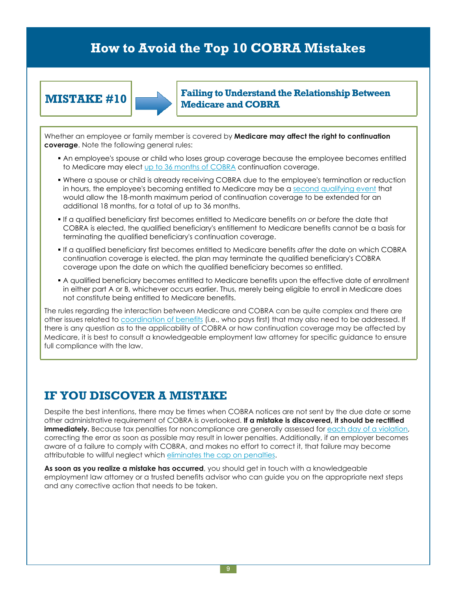![](_page_8_Figure_2.jpeg)

### **MISTAKE** #10 **Failing to Understand** the Relationship Between **Medicare and COBRA**

Whether an employee or family member is covered by **Medicare may affect the right to continuation coverage**. Note the following general rules:

- An employee's spouse or child who loses group coverage because the employee becomes entitled to Medicare may elect up to 36 months of [COBRA](http://www.dol.gov/ebsa/publications/cobraemployer.html#7) continuation coverage.
- Where a spouse or child is already receiving COBRA due to the employee's termination or reduction in hours, the employee's becoming entitled to Medicare may be a second [qualifying](http://www.dol.gov/ebsa/publications/cobraemployer.html#6) event that would allow the 18-month maximum period of continuation coverage to be extended for an additional 18 months, for a total of up to 36 months.
- If a qualified beneficiary first becomes entitled to Medicare benefits *on or before* the date that COBRA is elected, the qualified beneficiary's entitlement to Medicare benefits cannot be a basis for terminating the qualified beneficiary's continuation coverage.
- If a qualified beneficiary first becomes entitled to Medicare benefits *after* the date on which COBRA continuation coverage is elected, the plan may terminate the qualified beneficiary's COBRA coverage upon the date on which the qualified beneficiary becomes so entitled.
- A qualified beneficiary becomes entitled to Medicare benefits upon the effective date of enrollment in either part A or B, whichever occurs earlier. Thus, merely being eligible to enroll in Medicare does not constitute being entitled to Medicare benefits.

The rules regarding the interaction between Medicare and COBRA can be quite complex and there are other issues related to [coordination](http://www.medicare.gov/Publications/Pubs/pdf/02179.pdf) of benefits (i.e., who pays first) that may also need to be addressed. If there is any question as to the applicability of COBRA or how continuation coverage may be affected by Medicare, it is best to consult a knowledgeable employment law attorney for specific guidance to ensure full compliance with the law.

## **IF YOU DISCOVER A MISTAKE**

Despite the best intentions, there may be times when COBRA notices are not sent by the due date or some other administrative requirement of COBRA is overlooked. **If a mistake is discovered, it should be rectified immediately.** Because tax penalties for noncompliance are generally assessed for each day of a [violation](http://www.irs.gov/pub/irs-utl/contofemployeehealthcarecoverageatg.pdf), correcting the error as soon as possible may result in lower penalties. Additionally, if an employer becomes aware of a failure to comply with COBRA, and makes no effort to correct it, that failure may become attributable to willful neglect which [eliminates](http://www.irs.gov/pub/irs-utl/contofemployeehealthcarecoverageatg.pdf) the cap on penalties.

**As soon as you realize a mistake has occurred**, you should get in touch with a knowledgeable employment law attorney or a trusted benefits advisor who can guide you on the appropriate next steps and any corrective action that needs to be taken.